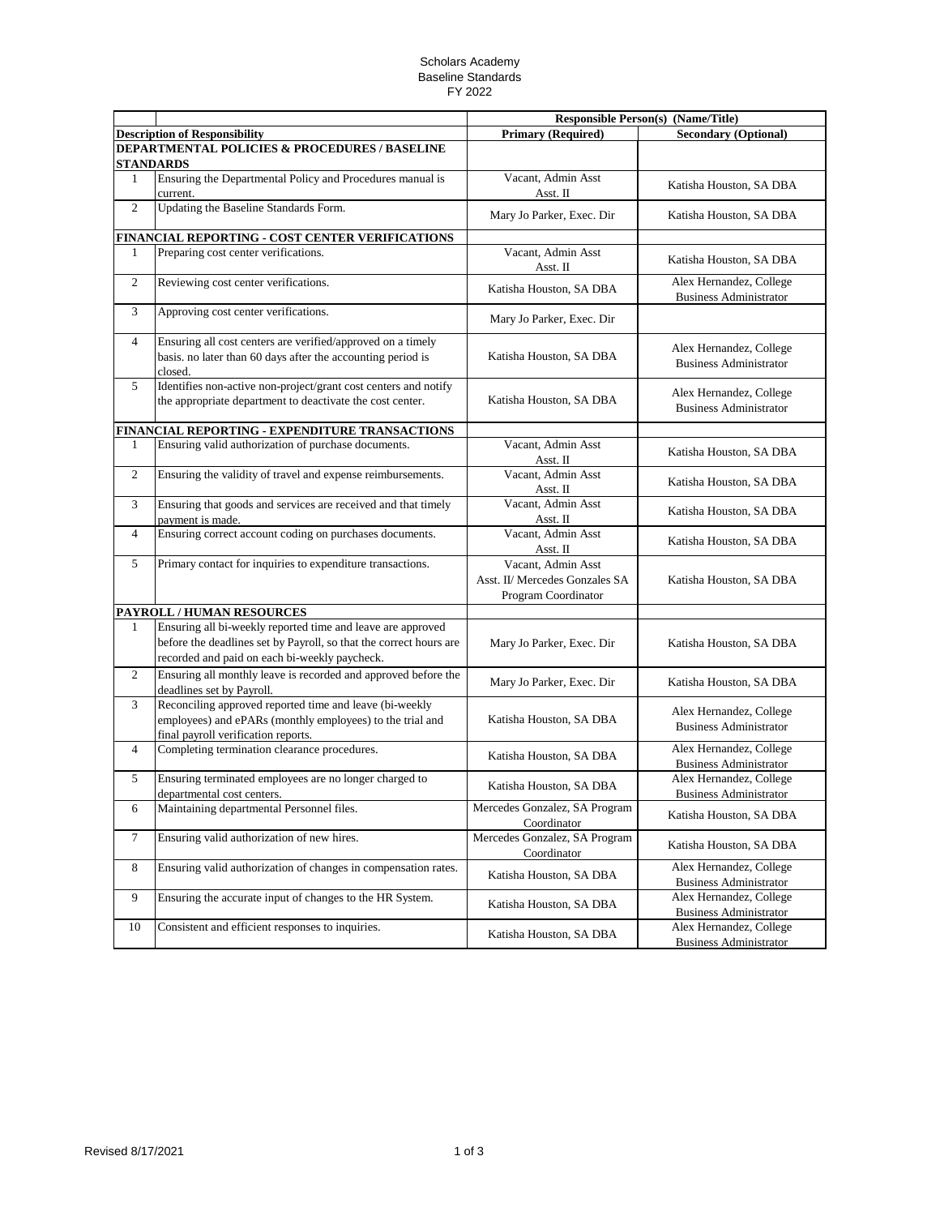## Scholars Academy Baseline Standards FY 2022

|                |                                                                                                                                                                                    | <b>Responsible Person(s) (Name/Title)</b>                                   |                                                          |
|----------------|------------------------------------------------------------------------------------------------------------------------------------------------------------------------------------|-----------------------------------------------------------------------------|----------------------------------------------------------|
|                | <b>Description of Responsibility</b>                                                                                                                                               | <b>Primary (Required)</b>                                                   | <b>Secondary (Optional)</b>                              |
|                | <b>DEPARTMENTAL POLICIES &amp; PROCEDURES / BASELINE</b><br><b>STANDARDS</b>                                                                                                       |                                                                             |                                                          |
| 1              | Ensuring the Departmental Policy and Procedures manual is<br>current.                                                                                                              | Vacant, Admin Asst<br>Asst. II                                              | Katisha Houston, SA DBA                                  |
| $\overline{2}$ | Updating the Baseline Standards Form.                                                                                                                                              | Mary Jo Parker, Exec. Dir                                                   | Katisha Houston, SA DBA                                  |
|                | FINANCIAL REPORTING - COST CENTER VERIFICATIONS                                                                                                                                    |                                                                             |                                                          |
| 1              | Preparing cost center verifications.                                                                                                                                               | Vacant, Admin Asst<br>Asst. II                                              | Katisha Houston, SA DBA                                  |
| 2              | Reviewing cost center verifications.                                                                                                                                               | Katisha Houston, SA DBA                                                     | Alex Hernandez, College<br><b>Business Administrator</b> |
| 3              | Approving cost center verifications.                                                                                                                                               | Mary Jo Parker, Exec. Dir                                                   |                                                          |
| $\overline{4}$ | Ensuring all cost centers are verified/approved on a timely<br>basis. no later than 60 days after the accounting period is<br>closed.                                              | Katisha Houston, SA DBA                                                     | Alex Hernandez, College<br><b>Business Administrator</b> |
| 5              | Identifies non-active non-project/grant cost centers and notify<br>the appropriate department to deactivate the cost center.                                                       | Katisha Houston, SA DBA                                                     | Alex Hernandez, College<br><b>Business Administrator</b> |
|                | FINANCIAL REPORTING - EXPENDITURE TRANSACTIONS                                                                                                                                     |                                                                             |                                                          |
| 1              | Ensuring valid authorization of purchase documents.                                                                                                                                | Vacant, Admin Asst<br>Asst. II                                              | Katisha Houston, SA DBA                                  |
| $\overline{c}$ | Ensuring the validity of travel and expense reimbursements.                                                                                                                        | Vacant, Admin Asst<br>Asst. II                                              | Katisha Houston, SA DBA                                  |
| 3              | Ensuring that goods and services are received and that timely<br>payment is made.                                                                                                  | Vacant, Admin Asst<br>Asst. II                                              | Katisha Houston, SA DBA                                  |
| $\overline{4}$ | Ensuring correct account coding on purchases documents.                                                                                                                            | Vacant, Admin Asst<br>Asst. II                                              | Katisha Houston, SA DBA                                  |
| 5              | Primary contact for inquiries to expenditure transactions.                                                                                                                         | Vacant, Admin Asst<br>Asst. II/ Mercedes Gonzales SA<br>Program Coordinator | Katisha Houston, SA DBA                                  |
|                | PAYROLL / HUMAN RESOURCES                                                                                                                                                          |                                                                             |                                                          |
| 1              | Ensuring all bi-weekly reported time and leave are approved<br>before the deadlines set by Payroll, so that the correct hours are<br>recorded and paid on each bi-weekly paycheck. | Mary Jo Parker, Exec. Dir                                                   | Katisha Houston, SA DBA                                  |
| $\overline{c}$ | Ensuring all monthly leave is recorded and approved before the<br>deadlines set by Payroll.                                                                                        | Mary Jo Parker, Exec. Dir                                                   | Katisha Houston, SA DBA                                  |
| 3              | Reconciling approved reported time and leave (bi-weekly<br>employees) and ePARs (monthly employees) to the trial and<br>final payroll verification reports.                        | Katisha Houston, SA DBA                                                     | Alex Hernandez, College<br><b>Business Administrator</b> |
| 4              | Completing termination clearance procedures.                                                                                                                                       | Katisha Houston, SA DBA                                                     | Alex Hernandez, College<br><b>Business Administrator</b> |
| 5              | Ensuring terminated employees are no longer charged to<br>departmental cost centers.                                                                                               | Katisha Houston, SA DBA                                                     | Alex Hernandez, College<br><b>Business Administrator</b> |
| 6              | Maintaining departmental Personnel files.                                                                                                                                          | Mercedes Gonzalez, SA Program<br>Coordinator                                | Katisha Houston, SA DBA                                  |
| $\tau$         | Ensuring valid authorization of new hires.                                                                                                                                         | Mercedes Gonzalez, SA Program<br>Coordinator                                | Katisha Houston, SA DBA                                  |
| 8              | Ensuring valid authorization of changes in compensation rates.                                                                                                                     | Katisha Houston, SA DBA                                                     | Alex Hernandez, College<br><b>Business Administrator</b> |
| 9              | Ensuring the accurate input of changes to the HR System.                                                                                                                           | Katisha Houston, SA DBA                                                     | Alex Hernandez, College<br><b>Business Administrator</b> |
| 10             | Consistent and efficient responses to inquiries.                                                                                                                                   | Katisha Houston, SA DBA                                                     | Alex Hernandez, College<br><b>Business Administrator</b> |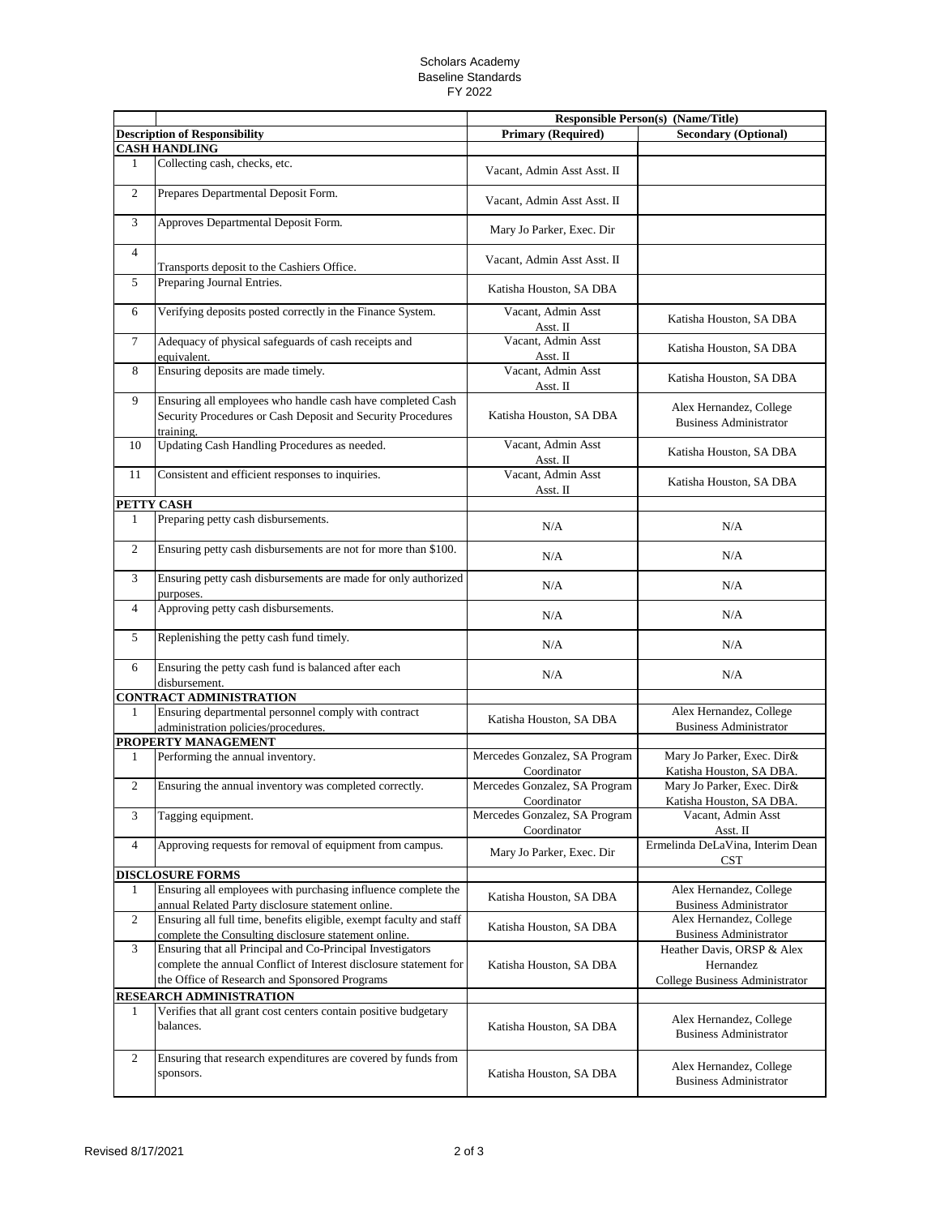## Scholars Academy Baseline Standards FY 2022

|                |                                                                                                                                                                                  |                                              | Responsible Person(s) (Name/Title)                                        |
|----------------|----------------------------------------------------------------------------------------------------------------------------------------------------------------------------------|----------------------------------------------|---------------------------------------------------------------------------|
|                | <b>Description of Responsibility</b>                                                                                                                                             | <b>Primary (Required)</b>                    | <b>Secondary (Optional)</b>                                               |
|                | <b>CASH HANDLING</b>                                                                                                                                                             |                                              |                                                                           |
| 1              | Collecting cash, checks, etc.                                                                                                                                                    | Vacant, Admin Asst Asst. II                  |                                                                           |
| 2              | Prepares Departmental Deposit Form.                                                                                                                                              | Vacant, Admin Asst Asst. II                  |                                                                           |
| 3              | Approves Departmental Deposit Form.                                                                                                                                              | Mary Jo Parker, Exec. Dir                    |                                                                           |
| $\overline{4}$ | Transports deposit to the Cashiers Office.                                                                                                                                       | Vacant, Admin Asst Asst. II                  |                                                                           |
| 5              | Preparing Journal Entries.                                                                                                                                                       | Katisha Houston, SA DBA                      |                                                                           |
| 6              | Verifying deposits posted correctly in the Finance System.                                                                                                                       | Vacant, Admin Asst<br>Asst. II               | Katisha Houston, SA DBA                                                   |
| $\overline{7}$ | Adequacy of physical safeguards of cash receipts and<br>equivalent.                                                                                                              | Vacant, Admin Asst<br>Asst. II               | Katisha Houston, SA DBA                                                   |
| 8              | Ensuring deposits are made timely.                                                                                                                                               | Vacant, Admin Asst<br>Asst. II               | Katisha Houston, SA DBA                                                   |
| 9              | Ensuring all employees who handle cash have completed Cash                                                                                                                       |                                              |                                                                           |
|                | Security Procedures or Cash Deposit and Security Procedures<br>training.                                                                                                         | Katisha Houston, SA DBA                      | Alex Hernandez, College<br><b>Business Administrator</b>                  |
| 10             | Updating Cash Handling Procedures as needed.                                                                                                                                     | Vacant, Admin Asst<br>Asst. II               | Katisha Houston, SA DBA                                                   |
| 11             | Consistent and efficient responses to inquiries.                                                                                                                                 | Vacant, Admin Asst<br>Asst. II               | Katisha Houston, SA DBA                                                   |
|                | PETTY CASH                                                                                                                                                                       |                                              |                                                                           |
| 1              | Preparing petty cash disbursements.                                                                                                                                              | N/A                                          | N/A                                                                       |
| $\overline{2}$ | Ensuring petty cash disbursements are not for more than \$100.                                                                                                                   | N/A                                          | N/A                                                                       |
| 3              | Ensuring petty cash disbursements are made for only authorized<br>purposes.                                                                                                      | N/A                                          | N/A                                                                       |
| $\overline{4}$ | Approving petty cash disbursements.                                                                                                                                              | N/A                                          | N/A                                                                       |
| 5              | Replenishing the petty cash fund timely.                                                                                                                                         | N/A                                          | N/A                                                                       |
| 6              | Ensuring the petty cash fund is balanced after each<br>disbursement.                                                                                                             | N/A                                          | N/A                                                                       |
|                | <b>CONTRACT ADMINISTRATION</b>                                                                                                                                                   |                                              |                                                                           |
| $\mathbf{1}$   | Ensuring departmental personnel comply with contract<br>administration policies/procedures.                                                                                      | Katisha Houston, SA DBA                      | Alex Hernandez, College<br><b>Business Administrator</b>                  |
|                | PROPERTY MANAGEMENT                                                                                                                                                              |                                              |                                                                           |
| 1              | Performing the annual inventory.                                                                                                                                                 | Mercedes Gonzalez, SA Program<br>Coordinator | Mary Jo Parker, Exec. Dir&<br>Katisha Houston, SA DBA.                    |
| $\overline{c}$ | Ensuring the annual inventory was completed correctly.                                                                                                                           | Mercedes Gonzalez, SA Program<br>Coordinator | Mary Jo Parker, Exec. Dir&<br>Katisha Houston, SA DBA.                    |
| 3              | Tagging equipment.                                                                                                                                                               | Mercedes Gonzalez, SA Program<br>Coordinator | Vacant, Admin Asst<br>Asst. II                                            |
| $\overline{4}$ | Approving requests for removal of equipment from campus.                                                                                                                         | Mary Jo Parker, Exec. Dir                    | Ermelinda DeLaVina, Interim Dean<br><b>CST</b>                            |
|                | <b>DISCLOSURE FORMS</b>                                                                                                                                                          |                                              |                                                                           |
| 1              | Ensuring all employees with purchasing influence complete the<br>annual Related Party disclosure statement online.                                                               | Katisha Houston, SA DBA                      | Alex Hernandez, College<br><b>Business Administrator</b>                  |
| $\overline{c}$ | Ensuring all full time, benefits eligible, exempt faculty and staff<br>complete the Consulting disclosure statement online.                                                      | Katisha Houston, SA DBA                      | Alex Hernandez, College<br><b>Business Administrator</b>                  |
| 3              | Ensuring that all Principal and Co-Principal Investigators<br>complete the annual Conflict of Interest disclosure statement for<br>the Office of Research and Sponsored Programs | Katisha Houston, SA DBA                      | Heather Davis, ORSP & Alex<br>Hernandez<br>College Business Administrator |
|                | <b>RESEARCH ADMINISTRATION</b>                                                                                                                                                   |                                              |                                                                           |
| 1              | Verifies that all grant cost centers contain positive budgetary<br>balances.                                                                                                     | Katisha Houston, SA DBA                      | Alex Hernandez, College<br><b>Business Administrator</b>                  |
| $\mathfrak{2}$ | Ensuring that research expenditures are covered by funds from<br>sponsors.                                                                                                       | Katisha Houston, SA DBA                      | Alex Hernandez, College<br><b>Business Administrator</b>                  |